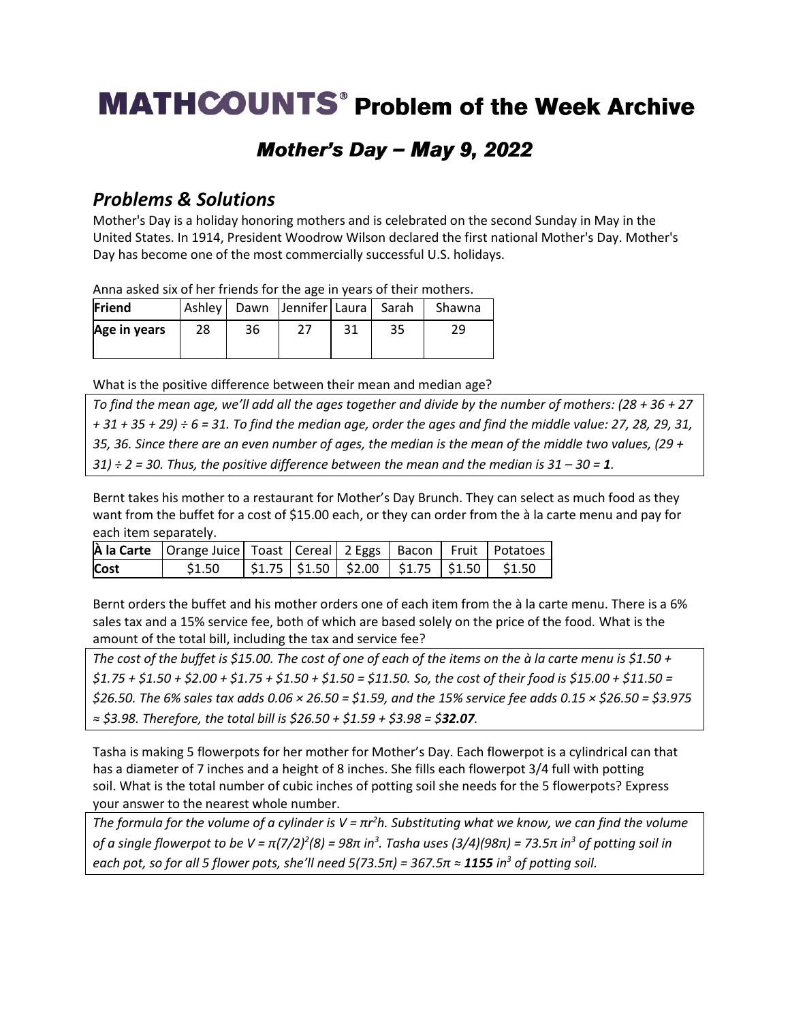# **MATHCOUNTS**<sup>®</sup> Problem of the Week Archive

## Mother's Day - May 9, 2022

### *Problems & Solutions*

Mother's Day is a holiday honoring mothers and is celebrated on the second Sunday in May in the United States. In 1914, President Woodrow Wilson declared the first national Mother's Day. Mother's Day has become one of the most commercially successful U.S. holidays.

Anna asked six of her friends for the age in years of their mothers.

| Friend       |    |    | Ashley   Dawn   Jennifer   Laura   Sarah |    |    | Shawna |
|--------------|----|----|------------------------------------------|----|----|--------|
| Age in years | 28 | 36 |                                          | 31 | 35 | 29     |

What is the positive difference between their mean and median age?

*To find the mean age, we'll add all the ages together and divide by the number of mothers: (28 + 36 + 27 + 31 + 35 + 29) ÷ 6 = 31. To find the median age, order the ages and find the middle value: 27, 28, 29, 31, 35, 36. Since there are an even number of ages, the median is the mean of the middle two values, (29 +*   $31$ )  $\div$  2 = 30. Thus, the positive difference between the mean and the median is  $31 - 30 = 1$ .

Bernt takes his mother to a restaurant for Mother's Day Brunch. They can select as much food as they want from the buffet for a cost of \$15.00 each, or they can order from the à la carte menu and pay for each item separately.

|             | A la Carte   Orange Juice   Toast   Cereal   2 Eggs   Bacon   Fruit   Potatoes |  |  |                                                             |
|-------------|--------------------------------------------------------------------------------|--|--|-------------------------------------------------------------|
| <b>Cost</b> | \$1.50                                                                         |  |  | $\vert$ \$1.75   \$1.50   \$2.00   \$1.75   \$1.50   \$1.50 |

Bernt orders the buffet and his mother orders one of each item from the à la carte menu. There is a 6% sales tax and a 15% service fee, both of which are based solely on the price of the food. What is the amount of the total bill, including the tax and service fee?

*The cost of the buffet is \$15.00. The cost of one of each of the items on the à la carte menu is \$1.50 + \$1.75 + \$1.50 + \$2.00 + \$1.75 + \$1.50 + \$1.50 = \$11.50. So, the cost of their food is \$15.00 + \$11.50 = \$26.50. The 6% sales tax adds 0.06 × 26.50 = \$1.59, and the 15% service fee adds 0.15 × \$26.50 = \$3.975 ≈ \$3.98. Therefore, the total bill is \$26.50 + \$1.59 + \$3.98 = \$32.07.*

Tasha is making 5 flowerpots for her mother for Mother's Day. Each flowerpot is a cylindrical can that has a diameter of 7 inches and a height of 8 inches. She fills each flowerpot 3/4 full with potting soil. What is the total number of cubic inches of potting soil she needs for the 5 flowerpots? Express your answer to the nearest whole number.

*The formula for the volume of a cylinder is V = πr <sup>2</sup>h. Substituting what we know, we can find the volume of a single flowerpot to be V = π(7/2)<sup>2</sup> (8) = 98π in<sup>3</sup> . Tasha uses (3/4)(98π) = 73.5π in<sup>3</sup> of potting soil in each pot, so for all 5 flower pots, she'll need 5(73.5π) = 367.5π ≈ 1155 in<sup>3</sup> of potting soil.*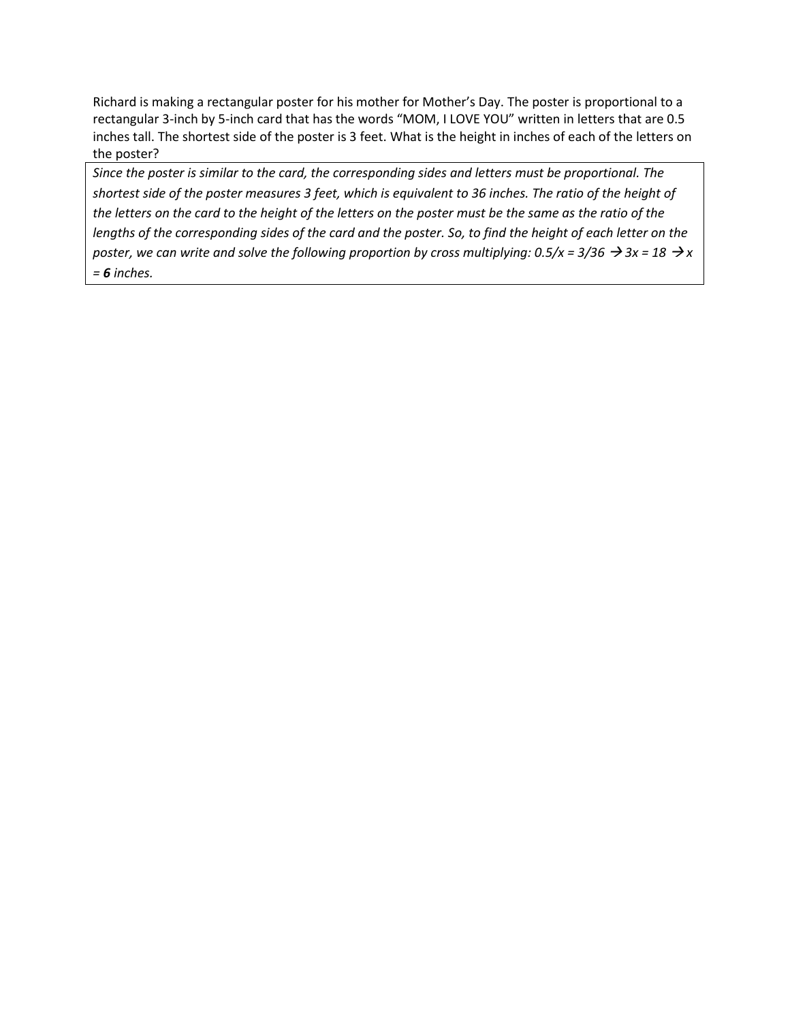Richard is making a rectangular poster for his mother for Mother's Day. The poster is proportional to a rectangular 3-inch by 5-inch card that has the words "MOM, I LOVE YOU" written in letters that are 0.5 inches tall. The shortest side of the poster is 3 feet. What is the height in inches of each of the letters on the poster?

*Since the poster is similar to the card, the corresponding sides and letters must be proportional. The shortest side of the poster measures 3 feet, which is equivalent to 36 inches. The ratio of the height of the letters on the card to the height of the letters on the poster must be the same as the ratio of the lengths of the corresponding sides of the card and the poster. So, to find the height of each letter on the poster, we can write and solve the following proportion by cross multiplying:*  $0.5/x = 3/36 \rightarrow 3x = 18 \rightarrow x$ *= 6 inches.*